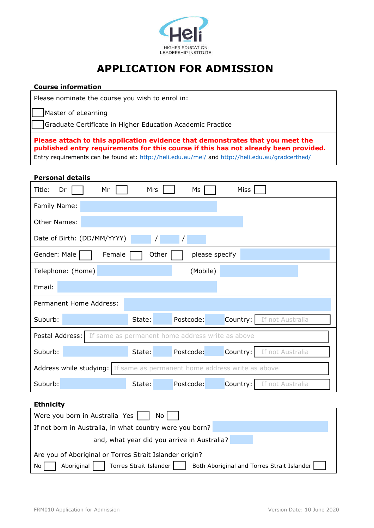

### **APPLICATION FOR ADMISSION**

| <b>Course information</b>                                                                                                                                                                                                                                                |  |  |  |  |  |
|--------------------------------------------------------------------------------------------------------------------------------------------------------------------------------------------------------------------------------------------------------------------------|--|--|--|--|--|
| Please nominate the course you wish to enrol in:                                                                                                                                                                                                                         |  |  |  |  |  |
| Master of eLearning                                                                                                                                                                                                                                                      |  |  |  |  |  |
| Graduate Certificate in Higher Education Academic Practice                                                                                                                                                                                                               |  |  |  |  |  |
| Please attach to this application evidence that demonstrates that you meet the<br>published entry requirements for this course if this has not already been provided.<br>Entry requirements can be found at: http://heli.edu.au/mel/ and http://heli.edu.au/gradcerthed/ |  |  |  |  |  |
| <b>Personal details</b>                                                                                                                                                                                                                                                  |  |  |  |  |  |
| <b>Miss</b><br>Title:<br>Mrs<br>Ms<br>Dr<br>Mr                                                                                                                                                                                                                           |  |  |  |  |  |
| Family Name:                                                                                                                                                                                                                                                             |  |  |  |  |  |
| Other Names:                                                                                                                                                                                                                                                             |  |  |  |  |  |
| Date of Birth: (DD/MM/YYYY)                                                                                                                                                                                                                                              |  |  |  |  |  |
| Gender: Male<br>Other<br>please specify<br>Female                                                                                                                                                                                                                        |  |  |  |  |  |
| (Mobile)<br>Telephone: (Home)                                                                                                                                                                                                                                            |  |  |  |  |  |
| Email:                                                                                                                                                                                                                                                                   |  |  |  |  |  |
| Permanent Home Address:                                                                                                                                                                                                                                                  |  |  |  |  |  |
| Postcode:<br>Country:<br>If not Australia<br>Suburb:<br>State:                                                                                                                                                                                                           |  |  |  |  |  |
| Postal Address:<br>If same as permanent home address write as above                                                                                                                                                                                                      |  |  |  |  |  |
| Suburb:<br>If not Australia<br>State:<br>Postcode:<br>Country:                                                                                                                                                                                                           |  |  |  |  |  |
| Address while studying: If same as permanent home address write as above                                                                                                                                                                                                 |  |  |  |  |  |
| Suburb:<br>Postcode:<br>Country:<br>State:<br>If not Australia                                                                                                                                                                                                           |  |  |  |  |  |
| <b>Ethnicity</b>                                                                                                                                                                                                                                                         |  |  |  |  |  |
| Were you born in Australia Yes<br>No                                                                                                                                                                                                                                     |  |  |  |  |  |
| If not born in Australia, in what country were you born?                                                                                                                                                                                                                 |  |  |  |  |  |
| and, what year did you arrive in Australia?                                                                                                                                                                                                                              |  |  |  |  |  |
| Are you of Aboriginal or Torres Strait Islander origin?                                                                                                                                                                                                                  |  |  |  |  |  |
| Aboriginal<br>Torres Strait Islander<br>Both Aboriginal and Torres Strait Islander<br>No                                                                                                                                                                                 |  |  |  |  |  |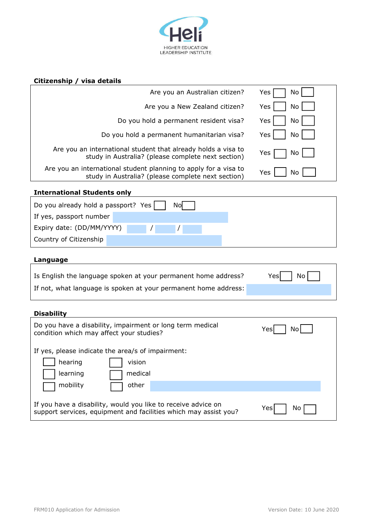

## **Citizenship / visa details**

| Are you an Australian citizen?                                                                                             | Yes<br>No        |  |  |
|----------------------------------------------------------------------------------------------------------------------------|------------------|--|--|
| Are you a New Zealand citizen?                                                                                             | Yes<br>No        |  |  |
| Do you hold a permanent resident visa?                                                                                     | Yes<br>No        |  |  |
| Do you hold a permanent humanitarian visa?                                                                                 | Yes<br>No        |  |  |
| Are you an international student that already holds a visa to<br>study in Australia? (please complete next section)        | Yes<br>No        |  |  |
| Are you an international student planning to apply for a visa to<br>study in Australia? (please complete next section)     | <b>Yes</b><br>No |  |  |
| <b>International Students only</b>                                                                                         |                  |  |  |
| Do you already hold a passport? Yes<br>No                                                                                  |                  |  |  |
| If yes, passport number                                                                                                    |                  |  |  |
| Expiry date: (DD/MM/YYYY)                                                                                                  |                  |  |  |
| Country of Citizenship                                                                                                     |                  |  |  |
| Language                                                                                                                   |                  |  |  |
| Is English the language spoken at your permanent home address?                                                             | Yesl<br>No       |  |  |
| If not, what language is spoken at your permanent home address:                                                            |                  |  |  |
|                                                                                                                            |                  |  |  |
|                                                                                                                            |                  |  |  |
| <b>Disability</b><br>Do you have a disability, impairment or long term medical<br>condition which may affect your studies? | No<br>Yes        |  |  |
| If yes, please indicate the area/s of impairment:<br>hearing<br>vision<br>learning<br>medical<br>mobility<br>other         |                  |  |  |

If you have a disability, would you like to receive advice on  $\text{Yes} \square$  No support services, equipment and facilities which may assist you?

٦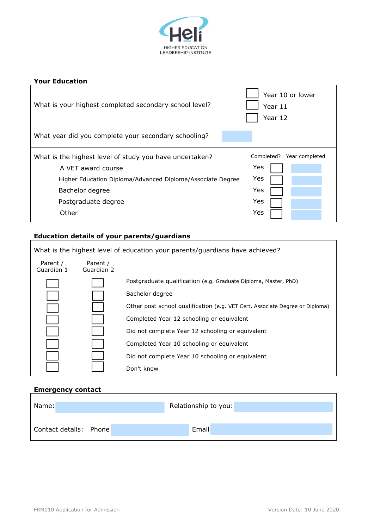

| <b>Your Education</b>                                                         |                                        |
|-------------------------------------------------------------------------------|----------------------------------------|
| What is your highest completed secondary school level?                        | Year 10 or lower<br>Year 11<br>Year 12 |
| What year did you complete your secondary schooling?                          |                                        |
| What is the highest level of study you have undertaken?<br>A VET award course | Completed?<br>Year completed<br>Yes    |
| Higher Education Diploma/Advanced Diploma/Associate Degree                    | Yes                                    |
| Bachelor degree                                                               | Yes                                    |
| Postgraduate degree                                                           | Yes                                    |
| Other                                                                         | Yes                                    |

# **Education details of your parents/guardians**

| What is the highest level of education your parents/guardians have achieved? |                        |                                                                              |  |
|------------------------------------------------------------------------------|------------------------|------------------------------------------------------------------------------|--|
| Parent /<br>Guardian 1                                                       | Parent /<br>Guardian 2 |                                                                              |  |
|                                                                              |                        | Postgraduate qualification (e.g. Graduate Diploma, Master, PhD)              |  |
|                                                                              |                        | Bachelor degree                                                              |  |
|                                                                              |                        | Other post school qualification (e.g. VET Cert, Associate Degree or Diploma) |  |
|                                                                              |                        | Completed Year 12 schooling or equivalent                                    |  |
|                                                                              |                        | Did not complete Year 12 schooling or equivalent                             |  |
|                                                                              |                        | Completed Year 10 schooling or equivalent                                    |  |
|                                                                              |                        | Did not complete Year 10 schooling or equivalent                             |  |
|                                                                              |                        | Don't know                                                                   |  |

#### **Emergency contact**

| Name:                  | Relationship to you: |
|------------------------|----------------------|
| Contact details: Phone | Email                |